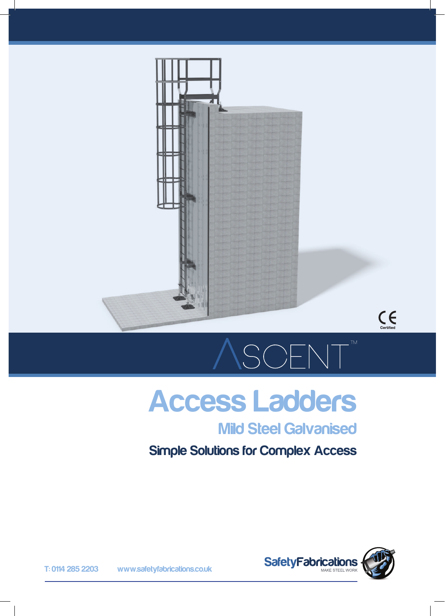



## SCENT

## Access Ladders

## Mild Steel Galvanised

### Simple Solutions for Complex Access



T: 0114 285 2203 www.safetyfabrications.co.uk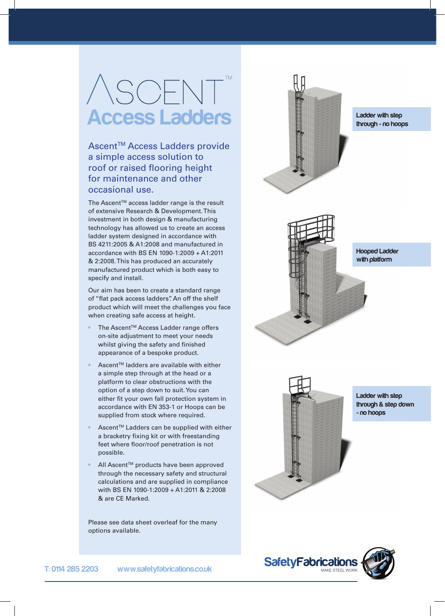## ASCENT<sup>"</sup> Access Ladders

Ascent™ Access Ladders provide a simple access solution to roof or raised flooring height for maintenance and other occasional use.

The Ascent<sup>™</sup> access ladder range is the result of extensive Research & Development. This investment in both design & manufacturing technology has allowed us to create an access ladder system designed in accordance with BS 4211:2005 & A1:2008 and manufactured in accordance with BS EN 1090-1:2009 + A1:2011 & 2:2008. This has produced an accurately manufactured product which is both easy to specify and install.

Our aim has been to create a standard range of "flat pack access ladders". An off the shelf product which will meet the challenges you face when creating safe access at height.

- The Ascent™ Access Ladder range offers on-site adjustment to meet your needs whilst giving the safety and finished appearance of a bespoke product.
- Ascent™ ladders are available with either a simple step through at the head or a platform to clear obstructions with the option of a step down to suit. You can either fit your own fall protection system in accordance with EN 353-1 or Hoops can be supplied from stock where required.
- Ascent™ Ladders can be supplied with either a bracketry fixing kit or with freestanding feet where floor/roof penetration is not possible.
- All Ascent™ products have been approved through the necessary safety and structural calculations and are supplied in compliance with BS EN 1090-1:2009 + A1:2011 & 2:2008 & are CE Marked.

Please see data sheet overleaf for the many options available.



Ladder with step through - no hoops



Hooped Ladder with platform



Ladder with step through & step down - no hoops

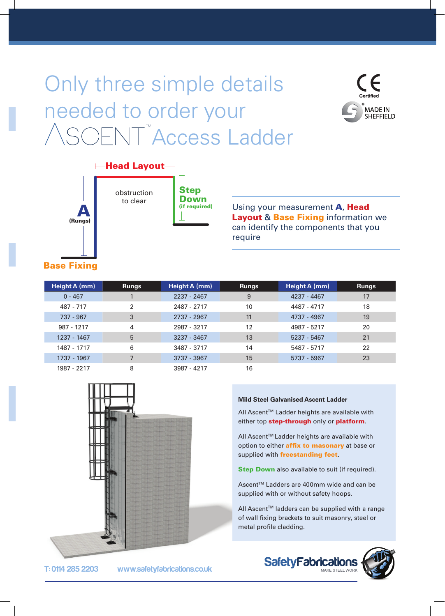## Only three simple details needed to order your CENT<sup>™</sup>Access Ladder





Step obstruction to clear

Down (if required)

Using your measurement **A**, Head **Layout & Base Fixing information we** can identify the components that you require

#### Base Fixing

| Height A (mm) | <b>Rungs</b>   | Height A (mm) | <b>Rungs</b> | Height A (mm) | <b>Rungs</b> |
|---------------|----------------|---------------|--------------|---------------|--------------|
| $0 - 467$     |                | 2237 - 2467   | 9            | 4237 - 4467   | 17           |
| 487 - 717     | 2              | 2487 - 2717   | 10           | 4487 - 4717   | 18           |
| 737 - 967     | 3              | 2737 - 2967   | 11           | 4737 - 4967   | 19           |
| 987 - 1217    | 4              | 2987 - 3217   | 12           | 4987 - 5217   | 20           |
| 1237 - 1467   | 5              | 3237 - 3467   | 13           | 5237 - 5467   | 21           |
| 1487 - 1717   | 6              | 3487 - 3717   | 14           | 5487 - 5717   | 22           |
| 1737 - 1967   | $\overline{7}$ | 3737 - 3967   | 15           | 5737 - 5967   | 23           |
| 1987 - 2217   | 8              | 3987 - 4217   | 16           |               |              |



#### **Mild Steel Galvanised Ascent Ladder**

All Ascent™ Ladder heights are available with either top **step-through** only or **platform**.

All Ascent™ Ladder heights are available with option to either **affix to masonary** at base or supplied with freestanding feet.

**Step Down** also available to suit (if required).

Ascent™ Ladders are 400mm wide and can be supplied with or without safety hoops.

All Ascent™ ladders can be supplied with a range of wall fixing brackets to suit masonry, steel or metal profile cladding.



T: 0114 285 2203 www.safetyfabrications.co.uk